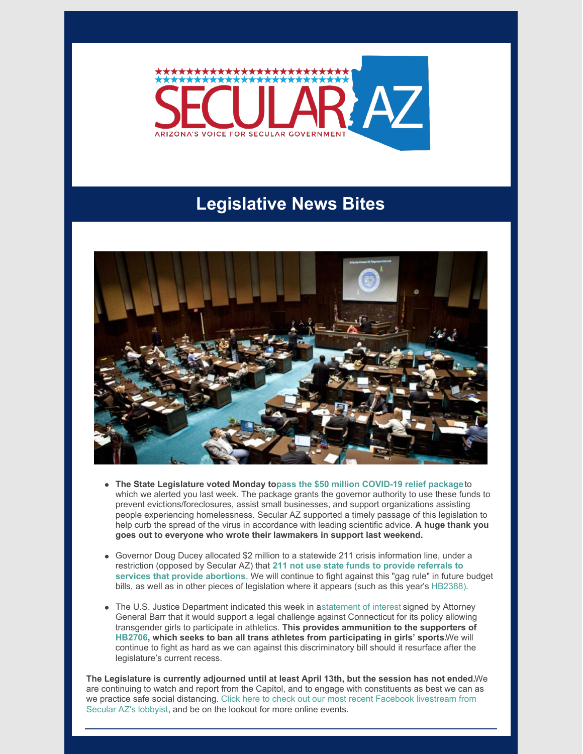

## **Legislative News Bites**



- **The State Legislature voted Monday topass the \$50 million [COVID-19](https://www.bizjournals.com/phoenix/news/2020/03/24/arizona-lawmakers-provide-50m-in-coronavirus.html) relief package**to which we alerted you last week. The package grants the governor authority to use these funds to prevent evictions/foreclosures, assist small businesses, and support organizations assisting people experiencing homelessness. Secular AZ supported a timely passage of this legislation to help curb the spread of the virus in accordance with leading scientific advice. **A huge thank you goes out to everyone who wrote their lawmakers in support last weekend.**
- Governor Doug Ducey allocated \$2 million to a statewide 211 crisis information line, under a restriction (opposed by Secular AZ) that **211 not use state funds to provide referrals to services that provide [abortions](https://azcapitoltimes.com/news/2020/03/22/state-to-fund-hotline-mired-in-controversy-for-covid-19-information/)**. We will continue to fight against this "gag rule" in future budget bills, as well as in other pieces of legislation where it appears (such as this year's [HB2388\)](https://www.azleg.gov/legtext/54leg/2R/bills/HB2388P.pdf).
- The U.S. Justice Department indicated this week in a[statement](https://apnews.com/96ae2ed8ef4cfb2b450ef3b4fac8a954) of interest signed by Attorney General Barr that it would support a legal challenge against Connecticut for its policy allowing transgender girls to participate in athletics. **This provides ammunition to the supporters of [HB2706](https://www.azleg.gov/legtext/54leg/2R/bills/HB2706P.pdf), which seeks to ban all trans athletes from participating in girls' sports.**We will continue to fight as hard as we can against this discriminatory bill should it resurface after the legislature's current recess.

**The Legislature is currently adjourned until at least April 13th, but the session has not ended.**We are continuing to watch and report from the Capitol, and to engage with constituents as best we can as we practice safe social [distancing.](https://www.facebook.com/secularaz/videos/628000077980297/) Click here to check out our most recent Facebook livestream from Secular AZ's lobbyist, and be on the lookout for more online events.